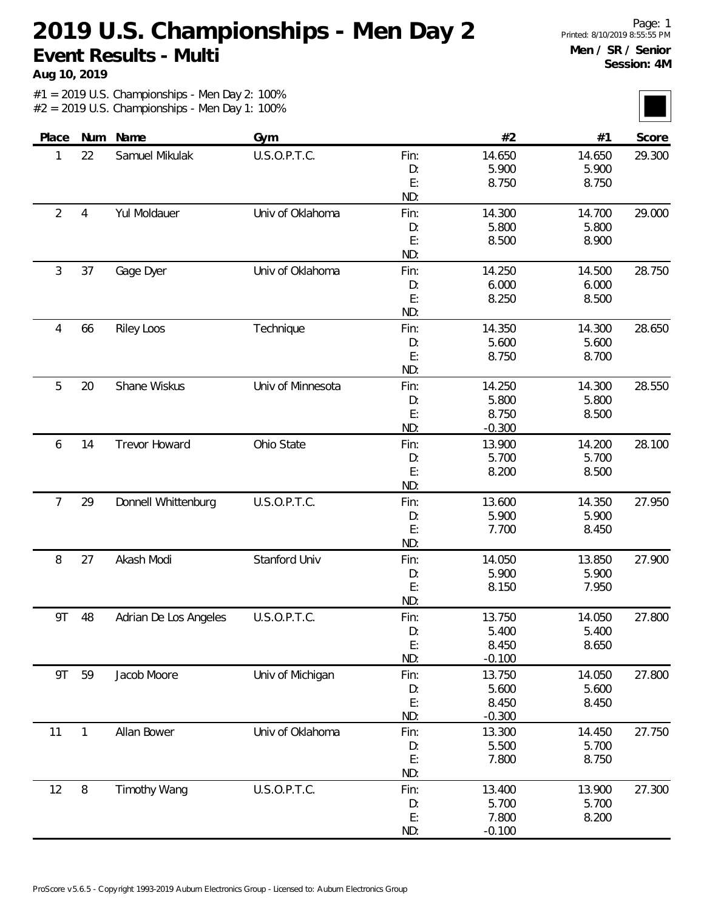**Aug 10, 2019**

| Place          | Num            | Name                  | Gym               |           | #2             | #1              | Score  |
|----------------|----------------|-----------------------|-------------------|-----------|----------------|-----------------|--------|
| 1              | 22             | Samuel Mikulak        | U.S.O.P.T.C.      | Fin:      | 14.650         | 14.650          | 29.300 |
|                |                |                       |                   | D:        | 5.900          | 5.900           |        |
|                |                |                       |                   | E:        | 8.750          | 8.750           |        |
|                |                |                       |                   | ND:       |                |                 |        |
| $\overline{2}$ | $\overline{4}$ | Yul Moldauer          | Univ of Oklahoma  | Fin:      | 14.300         | 14.700          | 29.000 |
|                |                |                       |                   | D:        | 5.800          | 5.800           |        |
|                |                |                       |                   | E:        | 8.500          | 8.900           |        |
|                |                |                       |                   | ND:       |                |                 |        |
| 3              | 37             | Gage Dyer             | Univ of Oklahoma  | Fin:      | 14.250         | 14.500          | 28.750 |
|                |                |                       |                   | D:        | 6.000          | 6.000           |        |
|                |                |                       |                   | E:        | 8.250          | 8.500           |        |
|                |                |                       |                   | ND:       |                |                 |        |
| 4              | 66             | <b>Riley Loos</b>     | Technique         | Fin:      | 14.350         | 14.300          | 28.650 |
|                |                |                       |                   | D:        | 5.600          | 5.600           |        |
|                |                |                       |                   | E:        | 8.750          | 8.700           |        |
|                |                |                       |                   | ND:       |                |                 |        |
| 5              | 20             | Shane Wiskus          | Univ of Minnesota | Fin:      | 14.250         | 14.300          | 28.550 |
|                |                |                       |                   | D:        | 5.800          | 5.800           |        |
|                |                |                       |                   | E:        | 8.750          | 8.500           |        |
|                |                |                       |                   | ND:       | $-0.300$       |                 |        |
| 6              | 14             | <b>Trevor Howard</b>  | Ohio State        | Fin:      | 13.900         | 14.200          | 28.100 |
|                |                |                       |                   | D:        | 5.700          | 5.700           |        |
|                |                |                       |                   | E:<br>ND: | 8.200          | 8.500           |        |
|                |                |                       |                   |           |                |                 |        |
| 7              | 29             | Donnell Whittenburg   | U.S.O.P.T.C.      | Fin:      | 13.600         | 14.350<br>5.900 | 27.950 |
|                |                |                       |                   | D:<br>E:  | 5.900<br>7.700 | 8.450           |        |
|                |                |                       |                   | ND:       |                |                 |        |
| 8              | 27             | Akash Modi            | Stanford Univ     | Fin:      | 14.050         | 13.850          | 27.900 |
|                |                |                       |                   | D:        | 5.900          | 5.900           |        |
|                |                |                       |                   | E:        | 8.150          | 7.950           |        |
|                |                |                       |                   | ND:       |                |                 |        |
| 9T             | 48             | Adrian De Los Angeles | U.S.O.P.T.C.      | Fin:      | 13.750         | 14.050          | 27.800 |
|                |                |                       |                   | D:        | 5.400          | 5.400           |        |
|                |                |                       |                   | E:        | 8.450          | 8.650           |        |
|                |                |                       |                   | ND:       | $-0.100$       |                 |        |
| 9T             | 59             | Jacob Moore           | Univ of Michigan  | Fin:      | 13.750         | 14.050          | 27.800 |
|                |                |                       |                   | D:        | 5.600          | 5.600           |        |
|                |                |                       |                   | E:        | 8.450          | 8.450           |        |
|                |                |                       |                   | ND:       | $-0.300$       |                 |        |
| 11             | 1              | Allan Bower           | Univ of Oklahoma  | Fin:      | 13.300         | 14.450          | 27.750 |
|                |                |                       |                   | D:        | 5.500          | 5.700           |        |
|                |                |                       |                   | E:        | 7.800          | 8.750           |        |
|                |                |                       |                   | ND:       |                |                 |        |
| 12             | $\, 8$         | <b>Timothy Wang</b>   | U.S.O.P.T.C.      | Fin:      | 13.400         | 13.900          | 27.300 |
|                |                |                       |                   | D:        | 5.700          | 5.700           |        |
|                |                |                       |                   | E:        | 7.800          | 8.200           |        |
|                |                |                       |                   | ND:       | $-0.100$       |                 |        |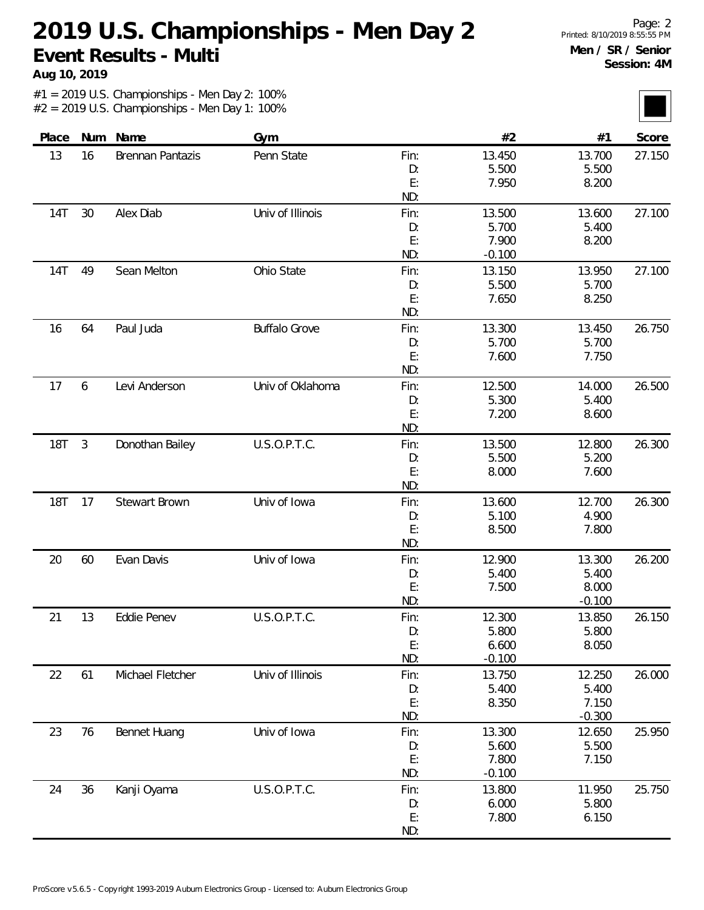**Aug 10, 2019**

| Place      |            | Num Name                | Gym                  |            | #2              | #1                 | Score  |
|------------|------------|-------------------------|----------------------|------------|-----------------|--------------------|--------|
| 13         | 16         | <b>Brennan Pantazis</b> | Penn State           | Fin:       | 13.450          | 13.700             | 27.150 |
|            |            |                         |                      | D:         | 5.500           | 5.500              |        |
|            |            |                         |                      | E:         | 7.950           | 8.200              |        |
|            |            |                         | Univ of Illinois     | ND:        |                 |                    | 27.100 |
| <b>14T</b> | 30         | Alex Diab               |                      | Fin:<br>D: | 13.500<br>5.700 | 13.600<br>5.400    |        |
|            |            |                         |                      | E:         | 7.900           | 8.200              |        |
|            |            |                         |                      | ND:        | $-0.100$        |                    |        |
| <b>14T</b> | 49         | Sean Melton             | Ohio State           | Fin:       | 13.150          | 13.950             | 27.100 |
|            |            |                         |                      | D:         | 5.500           | 5.700              |        |
|            |            |                         |                      | E:         | 7.650           | 8.250              |        |
|            |            |                         |                      | ND:        |                 |                    |        |
| 16         | 64         | Paul Juda               | <b>Buffalo Grove</b> | Fin:       | 13.300          | 13.450             | 26.750 |
|            |            |                         |                      | D:         | 5.700           | 5.700              |        |
|            |            |                         |                      | E:         | 7.600           | 7.750              |        |
|            |            |                         |                      | ND:        |                 |                    |        |
| 17         | 6          | Levi Anderson           | Univ of Oklahoma     | Fin:       | 12.500          | 14.000             | 26.500 |
|            |            |                         |                      | D:         | 5.300           | 5.400              |        |
|            |            |                         |                      | E:         | 7.200           | 8.600              |        |
|            |            |                         |                      | ND:        |                 |                    |        |
| <b>18T</b> | $\sqrt{3}$ | Donothan Bailey         | U.S.O.P.T.C.         | Fin:       | 13.500          | 12.800             | 26.300 |
|            |            |                         |                      | D:         | 5.500           | 5.200              |        |
|            |            |                         |                      | E:<br>ND:  | 8.000           | 7.600              |        |
| <b>18T</b> | 17         | Stewart Brown           | Univ of Iowa         | Fin:       | 13.600          | 12.700             | 26.300 |
|            |            |                         |                      | D:         | 5.100           | 4.900              |        |
|            |            |                         |                      | E:         | 8.500           | 7.800              |        |
|            |            |                         |                      | ND:        |                 |                    |        |
| 20         | 60         | Evan Davis              | Univ of Iowa         | Fin:       | 12.900          | 13.300             | 26.200 |
|            |            |                         |                      | D:         | 5.400           | 5.400              |        |
|            |            |                         |                      | E:         | 7.500           | 8.000              |        |
|            |            |                         |                      | ND:        |                 | $-0.100$           |        |
| 21         | 13         | Eddie Penev             | U.S.O.P.T.C.         | Fin:       | 12.300          | 13.850             | 26.150 |
|            |            |                         |                      | D:         | 5.800           | 5.800              |        |
|            |            |                         |                      | E:         | 6.600           | 8.050              |        |
|            |            |                         |                      | ND:        | $-0.100$        |                    |        |
| 22         | 61         | Michael Fletcher        | Univ of Illinois     | Fin:       | 13.750          | 12.250             | 26.000 |
|            |            |                         |                      | D:         | 5.400           | 5.400              |        |
|            |            |                         |                      | E:<br>ND:  | 8.350           | 7.150              |        |
| 23         | 76         | Bennet Huang            | Univ of Iowa         | Fin:       | 13.300          | $-0.300$<br>12.650 | 25.950 |
|            |            |                         |                      | D:         | 5.600           | 5.500              |        |
|            |            |                         |                      | E:         | 7.800           | 7.150              |        |
|            |            |                         |                      | ND:        | $-0.100$        |                    |        |
| 24         | 36         | Kanji Oyama             | U.S.O.P.T.C.         | Fin:       | 13.800          | 11.950             | 25.750 |
|            |            |                         |                      | D:         | 6.000           | 5.800              |        |
|            |            |                         |                      | E:         | 7.800           | 6.150              |        |
|            |            |                         |                      | ND:        |                 |                    |        |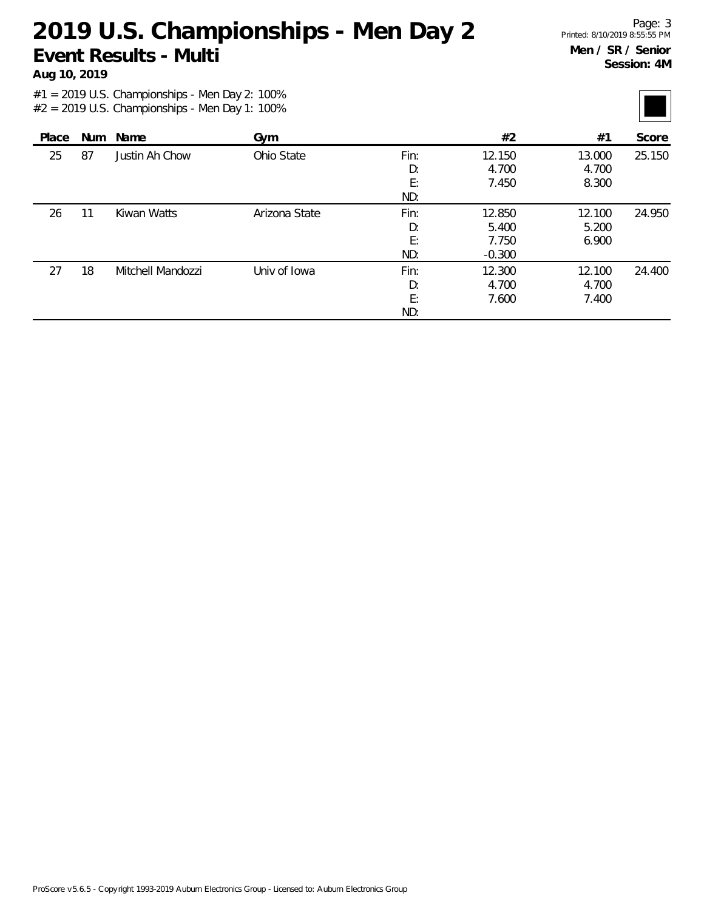**Aug 10, 2019**

| Place |    | Num Name          | Gym           |      | #2       | #1     | Score  |
|-------|----|-------------------|---------------|------|----------|--------|--------|
| 25    | 87 | Justin Ah Chow    | Ohio State    | Fin: | 12.150   | 13.000 | 25.150 |
|       |    |                   |               | D:   | 4.700    | 4.700  |        |
|       |    |                   |               | E:   | 7.450    | 8.300  |        |
|       |    |                   |               | ND:  |          |        |        |
| 26    | 11 | Kiwan Watts       | Arizona State | Fin: | 12.850   | 12.100 | 24.950 |
|       |    |                   |               | D:   | 5.400    | 5.200  |        |
|       |    |                   |               | E:   | 7.750    | 6.900  |        |
|       |    |                   |               | ND:  | $-0.300$ |        |        |
| 27    | 18 | Mitchell Mandozzi | Univ of Iowa  | Fin: | 12.300   | 12.100 | 24.400 |
|       |    |                   |               | D:   | 4.700    | 4.700  |        |
|       |    |                   |               | E:   | 7.600    | 7.400  |        |
|       |    |                   |               | ND:  |          |        |        |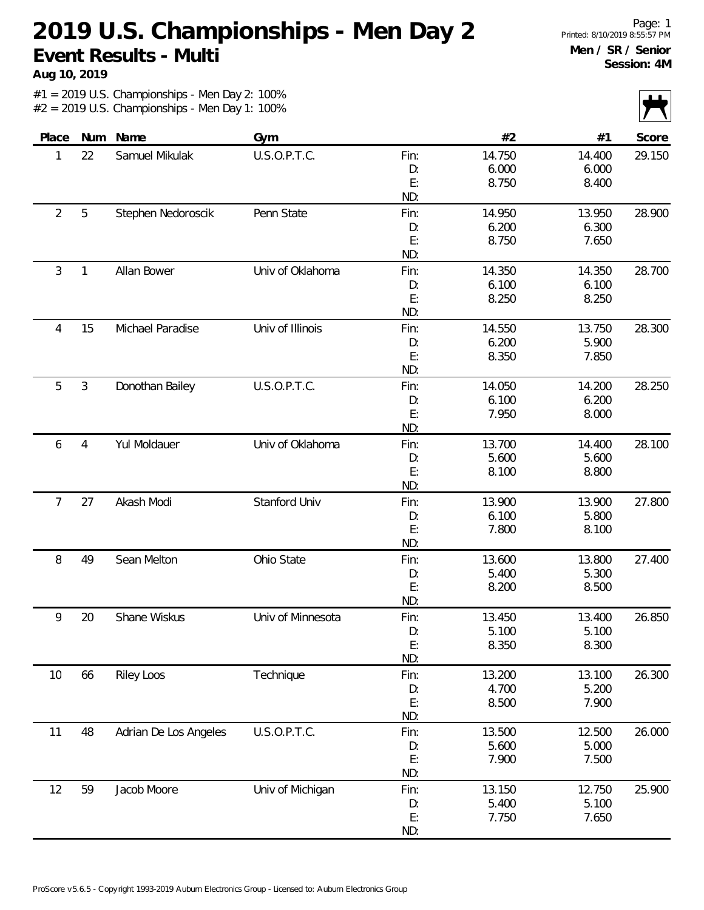**Aug 10, 2019**

|                |                |                       |                   |      |        |        | $\mathbf{V}$ $\mathbf{V}$ |
|----------------|----------------|-----------------------|-------------------|------|--------|--------|---------------------------|
| Place          | Num            | Name                  | Gym               |      | #2     | #1     | Score                     |
| 1              | 22             | Samuel Mikulak        | U.S.O.P.T.C.      | Fin: | 14.750 | 14.400 | 29.150                    |
|                |                |                       |                   | D:   | 6.000  | 6.000  |                           |
|                |                |                       |                   | E:   | 8.750  | 8.400  |                           |
|                |                |                       |                   | ND:  |        |        |                           |
| $\overline{2}$ | 5              | Stephen Nedoroscik    | Penn State        | Fin: | 14.950 | 13.950 | 28.900                    |
|                |                |                       |                   | D:   | 6.200  | 6.300  |                           |
|                |                |                       |                   | E:   | 8.750  | 7.650  |                           |
|                |                |                       |                   | ND:  |        |        |                           |
| 3              | 1              | Allan Bower           | Univ of Oklahoma  | Fin: | 14.350 | 14.350 | 28.700                    |
|                |                |                       |                   | D:   | 6.100  | 6.100  |                           |
|                |                |                       |                   | E:   | 8.250  | 8.250  |                           |
|                |                |                       |                   | ND:  |        |        |                           |
| 4              | 15             | Michael Paradise      | Univ of Illinois  | Fin: | 14.550 | 13.750 | 28.300                    |
|                |                |                       |                   | D:   | 6.200  | 5.900  |                           |
|                |                |                       |                   | E:   | 8.350  | 7.850  |                           |
|                |                |                       |                   | ND:  |        |        |                           |
| 5              | 3              | Donothan Bailey       | U.S.O.P.T.C.      | Fin: | 14.050 | 14.200 | 28.250                    |
|                |                |                       |                   | D:   | 6.100  | 6.200  |                           |
|                |                |                       |                   | E:   | 7.950  | 8.000  |                           |
|                |                |                       |                   | ND:  |        |        |                           |
| 6              | $\overline{4}$ | Yul Moldauer          | Univ of Oklahoma  | Fin: | 13.700 | 14.400 | 28.100                    |
|                |                |                       |                   | D:   | 5.600  | 5.600  |                           |
|                |                |                       |                   | E:   | 8.100  | 8.800  |                           |
|                |                |                       |                   | ND:  |        |        |                           |
| 7              | 27             | Akash Modi            | Stanford Univ     | Fin: | 13.900 | 13.900 | 27.800                    |
|                |                |                       |                   | D:   | 6.100  | 5.800  |                           |
|                |                |                       |                   | E:   | 7.800  | 8.100  |                           |
|                |                |                       |                   | ND:  |        |        |                           |
| 8              | 49             | Sean Melton           | Ohio State        | Fin: | 13.600 | 13.800 | 27.400                    |
|                |                |                       |                   | D:   | 5.400  | 5.300  |                           |
|                |                |                       |                   | E:   | 8.200  | 8.500  |                           |
|                |                |                       |                   | ND:  |        |        |                           |
| 9              | 20             | Shane Wiskus          | Univ of Minnesota | Fin: | 13.450 | 13.400 | 26.850                    |
|                |                |                       |                   | D:   | 5.100  | 5.100  |                           |
|                |                |                       |                   | E:   | 8.350  | 8.300  |                           |
|                |                |                       |                   | ND:  |        |        |                           |
| 10             | 66             | <b>Riley Loos</b>     | Technique         | Fin: | 13.200 | 13.100 | 26.300                    |
|                |                |                       |                   | D:   | 4.700  | 5.200  |                           |
|                |                |                       |                   | E:   | 8.500  | 7.900  |                           |
|                |                |                       |                   | ND:  |        |        |                           |
| 11             | 48             | Adrian De Los Angeles | U.S.O.P.T.C.      | Fin: | 13.500 | 12.500 | 26.000                    |
|                |                |                       |                   | D:   | 5.600  | 5.000  |                           |
|                |                |                       |                   | E:   | 7.900  | 7.500  |                           |
|                |                |                       |                   | ND:  |        |        |                           |
| 12             | 59             | Jacob Moore           | Univ of Michigan  | Fin: | 13.150 | 12.750 | 25.900                    |
|                |                |                       |                   | D:   | 5.400  | 5.100  |                           |
|                |                |                       |                   | E:   | 7.750  | 7.650  |                           |
|                |                |                       |                   | ND:  |        |        |                           |
|                |                |                       |                   |      |        |        |                           |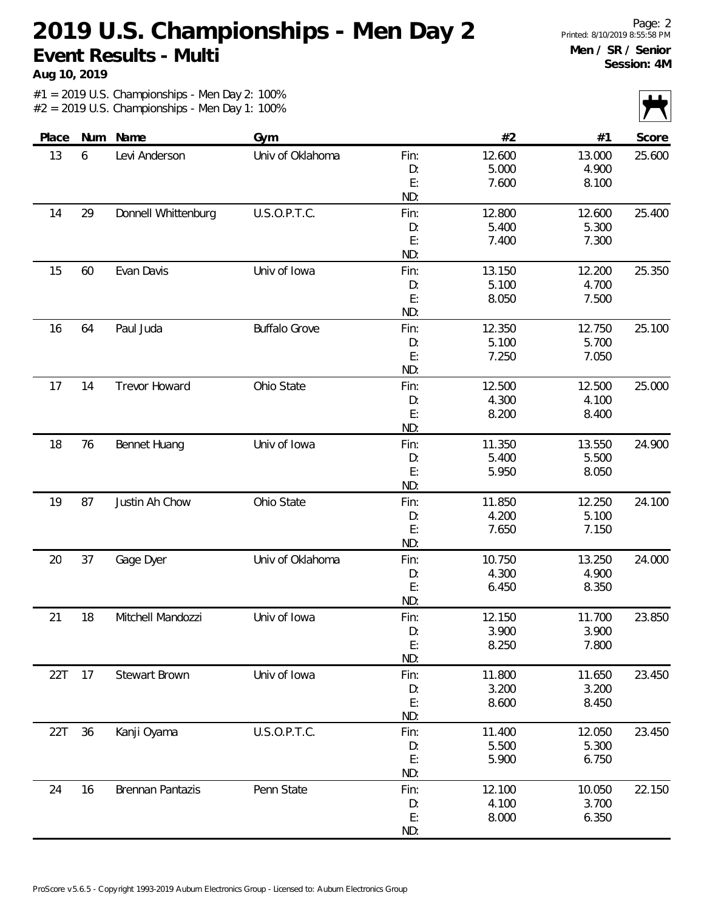**Aug 10, 2019**

|       |    |                     |                      |      |        |        | $\mathcal{L}$ $\mathcal{N}$ |
|-------|----|---------------------|----------------------|------|--------|--------|-----------------------------|
| Place |    | Num Name            | Gym                  |      | #2     | #1     | Score                       |
| 13    | 6  | Levi Anderson       | Univ of Oklahoma     | Fin: | 12.600 | 13.000 | 25.600                      |
|       |    |                     |                      | D:   | 5.000  | 4.900  |                             |
|       |    |                     |                      | E:   | 7.600  | 8.100  |                             |
|       |    |                     |                      | ND:  |        |        |                             |
| 14    | 29 | Donnell Whittenburg | U.S.O.P.T.C.         | Fin: | 12.800 | 12.600 | 25.400                      |
|       |    |                     |                      | D:   | 5.400  | 5.300  |                             |
|       |    |                     |                      | E:   | 7.400  | 7.300  |                             |
|       |    |                     |                      | ND:  |        |        |                             |
| 15    | 60 | Evan Davis          | Univ of Iowa         | Fin: | 13.150 | 12.200 | 25.350                      |
|       |    |                     |                      | D:   | 5.100  | 4.700  |                             |
|       |    |                     |                      | E:   | 8.050  | 7.500  |                             |
|       |    |                     |                      | ND:  |        |        |                             |
| 16    | 64 | Paul Juda           | <b>Buffalo Grove</b> | Fin: | 12.350 | 12.750 | 25.100                      |
|       |    |                     |                      | D:   | 5.100  | 5.700  |                             |
|       |    |                     |                      | E:   | 7.250  | 7.050  |                             |
|       |    |                     |                      | ND:  |        |        |                             |
| 17    | 14 | Trevor Howard       | Ohio State           | Fin: | 12.500 | 12.500 | 25.000                      |
|       |    |                     |                      | D:   | 4.300  | 4.100  |                             |
|       |    |                     |                      | E:   | 8.200  | 8.400  |                             |
|       |    |                     |                      | ND:  |        |        |                             |
| 18    | 76 | Bennet Huang        | Univ of Iowa         | Fin: | 11.350 | 13.550 | 24.900                      |
|       |    |                     |                      | D:   | 5.400  | 5.500  |                             |
|       |    |                     |                      | E:   | 5.950  | 8.050  |                             |
|       |    |                     |                      | ND:  |        |        |                             |
| 19    | 87 | Justin Ah Chow      | Ohio State           | Fin: | 11.850 | 12.250 | 24.100                      |
|       |    |                     |                      | D:   | 4.200  | 5.100  |                             |
|       |    |                     |                      | E:   | 7.650  | 7.150  |                             |
|       |    |                     |                      | ND:  |        |        |                             |
| 20    | 37 | Gage Dyer           | Univ of Oklahoma     | Fin: | 10.750 | 13.250 | 24.000                      |
|       |    |                     |                      | D:   | 4.300  | 4.900  |                             |
|       |    |                     |                      | E:   | 6.450  | 8.350  |                             |
|       |    |                     |                      | ND:  |        |        |                             |
| 21    | 18 | Mitchell Mandozzi   | Univ of Iowa         | Fin: | 12.150 | 11.700 | 23.850                      |
|       |    |                     |                      | D:   | 3.900  | 3.900  |                             |
|       |    |                     |                      | E:   | 8.250  | 7.800  |                             |
|       |    |                     |                      | ND:  |        |        |                             |
| 22T   | 17 | Stewart Brown       | Univ of Iowa         | Fin: | 11.800 | 11.650 | 23.450                      |
|       |    |                     |                      | D:   | 3.200  | 3.200  |                             |
|       |    |                     |                      | E:   | 8.600  | 8.450  |                             |
|       |    |                     |                      | ND:  |        |        |                             |
| 22T   | 36 | Kanji Oyama         | U.S.O.P.T.C.         | Fin: | 11.400 | 12.050 | 23.450                      |
|       |    |                     |                      | D:   | 5.500  | 5.300  |                             |
|       |    |                     |                      | E:   | 5.900  | 6.750  |                             |
|       |    |                     |                      | ND:  |        |        |                             |
| 24    | 16 | Brennan Pantazis    | Penn State           | Fin: | 12.100 | 10.050 | 22.150                      |
|       |    |                     |                      | D:   | 4.100  | 3.700  |                             |
|       |    |                     |                      | E:   | 8.000  | 6.350  |                             |
|       |    |                     |                      | ND:  |        |        |                             |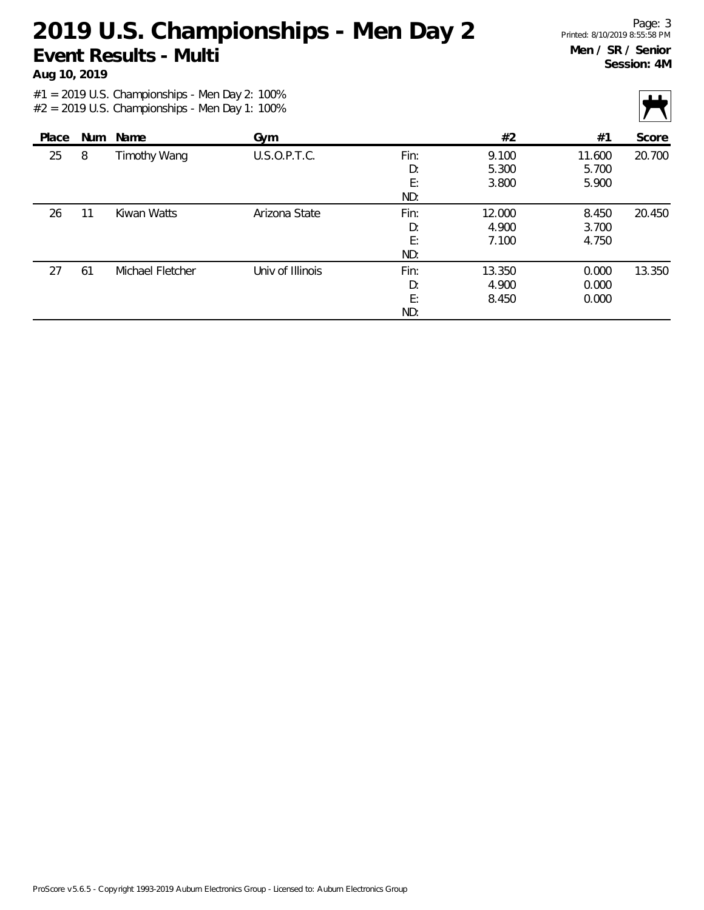**Aug 10, 2019**

|       |            |                     |                  |      |        |        | $\mathbf{r}$ |
|-------|------------|---------------------|------------------|------|--------|--------|--------------|
| Place | <b>Num</b> | Name                | Gym              |      | #2     | #1     | Score        |
| 25    | 8          | <b>Timothy Wang</b> | U.S.O.P.T.C.     | Fin: | 9.100  | 11.600 | 20.700       |
|       |            |                     |                  | D:   | 5.300  | 5.700  |              |
|       |            |                     |                  | E:   | 3.800  | 5.900  |              |
|       |            |                     |                  | ND:  |        |        |              |
| 26    | 11         | Kiwan Watts         | Arizona State    | Fin: | 12.000 | 8.450  | 20.450       |
|       |            |                     |                  | D:   | 4.900  | 3.700  |              |
|       |            |                     |                  | E:   | 7.100  | 4.750  |              |
|       |            |                     |                  | ND:  |        |        |              |
| 27    | 61         | Michael Fletcher    | Univ of Illinois | Fin: | 13.350 | 0.000  | 13.350       |
|       |            |                     |                  | D:   | 4.900  | 0.000  |              |
|       |            |                     |                  | E:   | 8.450  | 0.000  |              |
|       |            |                     |                  | ND:  |        |        |              |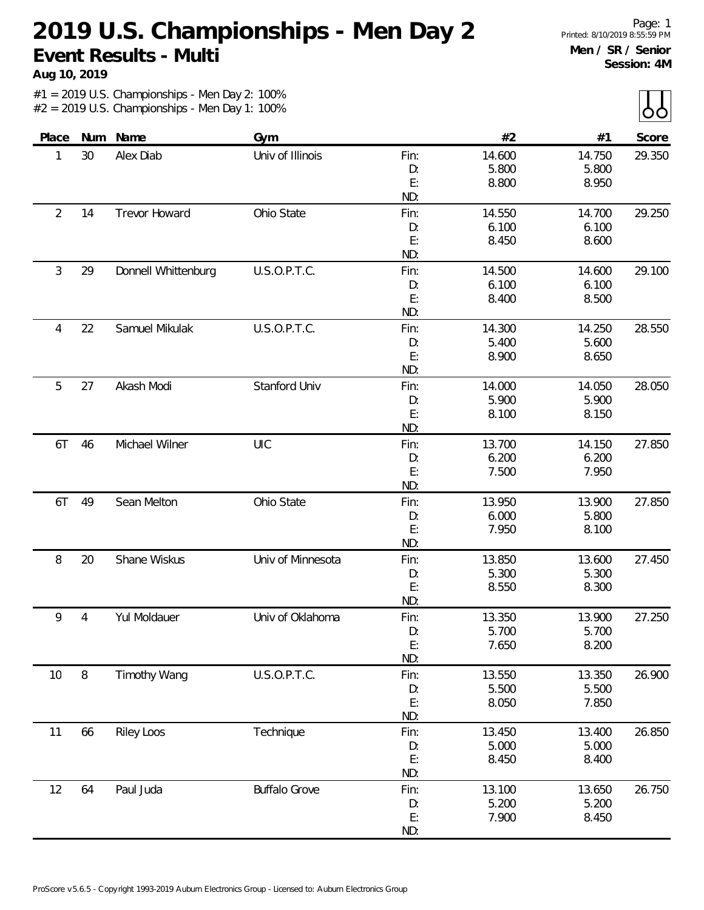**Aug 10, 2019**

 $\mathbf{||}$ 

| $\cup$ |        |        |      |                      |                     |                |                |
|--------|--------|--------|------|----------------------|---------------------|----------------|----------------|
| Score  | #1     | #2     |      | Gym                  | Name                | Num            | Place          |
| 29.350 | 14.750 | 14.600 | Fin: | Univ of Illinois     | Alex Diab           | 30             | 1              |
|        | 5.800  | 5.800  | D:   |                      |                     |                |                |
|        | 8.950  | 8.800  | E:   |                      |                     |                |                |
|        |        |        | ND:  |                      |                     |                |                |
| 29.250 | 14.700 | 14.550 | Fin: | Ohio State           | Trevor Howard       | 14             | $\overline{2}$ |
|        | 6.100  | 6.100  | D:   |                      |                     |                |                |
|        | 8.600  | 8.450  | E:   |                      |                     |                |                |
|        |        |        | ND:  |                      |                     |                |                |
| 29.100 | 14.600 | 14.500 | Fin: | U.S.O.P.T.C.         | Donnell Whittenburg | 29             | 3              |
|        | 6.100  | 6.100  | D:   |                      |                     |                |                |
|        | 8.500  | 8.400  | E:   |                      |                     |                |                |
|        |        |        | ND:  |                      |                     |                |                |
| 28.550 | 14.250 | 14.300 | Fin: | U.S.O.P.T.C.         | Samuel Mikulak      | 22             | 4              |
|        | 5.600  | 5.400  | D:   |                      |                     |                |                |
|        | 8.650  | 8.900  | E:   |                      |                     |                |                |
|        |        |        | ND:  |                      |                     |                |                |
| 28.050 | 14.050 | 14.000 | Fin: | Stanford Univ        | Akash Modi          | 27             | 5              |
|        | 5.900  | 5.900  | D:   |                      |                     |                |                |
|        | 8.150  | 8.100  | E:   |                      |                     |                |                |
|        |        |        | ND:  |                      |                     |                |                |
| 27.850 | 14.150 | 13.700 | Fin: | UIC                  | Michael Wilner      | 46             | 6T             |
|        | 6.200  | 6.200  | D:   |                      |                     |                |                |
|        | 7.950  | 7.500  | E:   |                      |                     |                |                |
|        |        |        | ND:  |                      |                     |                |                |
| 27.850 | 13.900 | 13.950 | Fin: | Ohio State           | Sean Melton         | 49             | 6T             |
|        | 5.800  | 6.000  | D:   |                      |                     |                |                |
|        | 8.100  | 7.950  | E:   |                      |                     |                |                |
|        |        |        | ND:  |                      |                     |                |                |
| 27.450 | 13.600 | 13.850 | Fin: | Univ of Minnesota    | Shane Wiskus        | 20             | 8              |
|        | 5.300  | 5.300  | D:   |                      |                     |                |                |
|        | 8.300  | 8.550  | E:   |                      |                     |                |                |
|        |        |        | ND:  |                      |                     |                |                |
| 27.250 | 13.900 | 13.350 | Fin: | Univ of Oklahoma     | Yul Moldauer        | $\overline{4}$ | 9              |
|        | 5.700  | 5.700  | D:   |                      |                     |                |                |
|        | 8.200  | 7.650  | E:   |                      |                     |                |                |
|        |        |        | ND:  |                      |                     |                |                |
| 26.900 | 13.350 | 13.550 | Fin: | U.S.O.P.T.C.         | <b>Timothy Wang</b> | $\, 8$         | 10             |
|        | 5.500  | 5.500  | D:   |                      |                     |                |                |
|        | 7.850  | 8.050  | E:   |                      |                     |                |                |
|        |        |        | ND:  |                      |                     |                |                |
| 26.850 | 13.400 | 13.450 | Fin: | Technique            | <b>Riley Loos</b>   | 66             | 11             |
|        | 5.000  | 5.000  | D:   |                      |                     |                |                |
|        | 8.400  | 8.450  | E:   |                      |                     |                |                |
|        |        |        | ND:  |                      |                     |                |                |
| 26.750 | 13.650 | 13.100 | Fin: | <b>Buffalo Grove</b> | Paul Juda           | 64             | 12             |
|        | 5.200  | 5.200  | D:   |                      |                     |                |                |
|        | 8.450  | 7.900  | E:   |                      |                     |                |                |
|        |        |        | ND:  |                      |                     |                |                |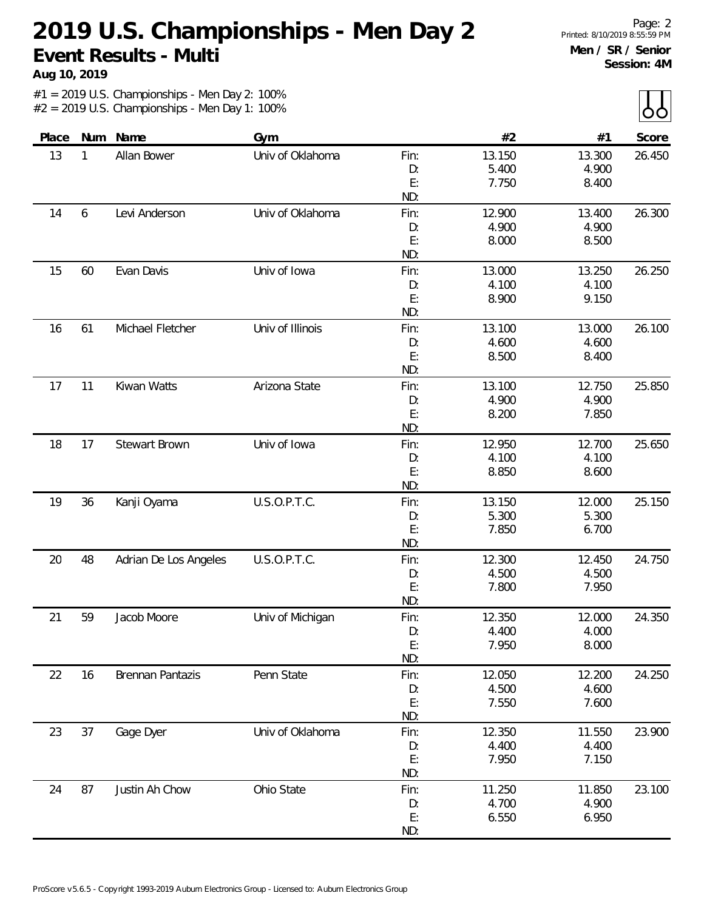**Aug 10, 2019**

 $\lambda$ 

|       |     |                         |                  |            |                 |                 | $\sim$ $\sim$ |
|-------|-----|-------------------------|------------------|------------|-----------------|-----------------|---------------|
| Place | Num | Name                    | Gym              |            | #2              | #1              | Score         |
| 13    | 1   | Allan Bower             | Univ of Oklahoma | Fin:       | 13.150          | 13.300          | 26.450        |
|       |     |                         |                  | D:         | 5.400           | 4.900           |               |
|       |     |                         |                  | E:         | 7.750           | 8.400           |               |
|       |     |                         |                  | ND:        |                 |                 |               |
| 14    | 6   | Levi Anderson           | Univ of Oklahoma | Fin:       | 12.900          | 13.400          | 26.300        |
|       |     |                         |                  | D:         | 4.900           | 4.900           |               |
|       |     |                         |                  | E:         | 8.000           | 8.500           |               |
|       |     |                         |                  | ND:        |                 |                 |               |
| 15    | 60  | Evan Davis              | Univ of Iowa     | Fin:       | 13.000          | 13.250          | 26.250        |
|       |     |                         |                  | D:         | 4.100           | 4.100           |               |
|       |     |                         |                  | E:         | 8.900           | 9.150           |               |
|       |     |                         |                  | ND:        |                 |                 |               |
| 16    | 61  | Michael Fletcher        | Univ of Illinois | Fin:       | 13.100          | 13.000          | 26.100        |
|       |     |                         |                  | D:         | 4.600           | 4.600           |               |
|       |     |                         |                  | E:         | 8.500           | 8.400           |               |
|       |     |                         |                  | ND:        |                 |                 |               |
| 17    | 11  | Kiwan Watts             | Arizona State    | Fin:       | 13.100          | 12.750          | 25.850        |
|       |     |                         |                  | D:         | 4.900           | 4.900           |               |
|       |     |                         |                  | E:<br>ND:  | 8.200           | 7.850           |               |
| 18    |     | <b>Stewart Brown</b>    |                  |            |                 |                 | 25.650        |
|       | 17  |                         | Univ of Iowa     | Fin:<br>D: | 12.950<br>4.100 | 12.700<br>4.100 |               |
|       |     |                         |                  | E:         | 8.850           | 8.600           |               |
|       |     |                         |                  | ND:        |                 |                 |               |
| 19    | 36  | Kanji Oyama             | U.S.O.P.T.C.     | Fin:       | 13.150          | 12.000          | 25.150        |
|       |     |                         |                  | D:         | 5.300           | 5.300           |               |
|       |     |                         |                  | E:         | 7.850           | 6.700           |               |
|       |     |                         |                  | ND:        |                 |                 |               |
| 20    | 48  | Adrian De Los Angeles   | U.S.O.P.T.C.     | Fin:       | 12.300          | 12.450          | 24.750        |
|       |     |                         |                  | D:         | 4.500           | 4.500           |               |
|       |     |                         |                  | E:         | 7.800           | 7.950           |               |
|       |     |                         |                  | ND:        |                 |                 |               |
| 21    | 59  | Jacob Moore             | Univ of Michigan | Fin:       | 12.350          | 12.000          | 24.350        |
|       |     |                         |                  | D:         | 4.400           | 4.000           |               |
|       |     |                         |                  | E:         | 7.950           | 8.000           |               |
|       |     |                         |                  | ND:        |                 |                 |               |
| 22    | 16  | <b>Brennan Pantazis</b> | Penn State       | Fin:       | 12.050          | 12.200          | 24.250        |
|       |     |                         |                  | D:         | 4.500           | 4.600           |               |
|       |     |                         |                  | E:         | 7.550           | 7.600           |               |
|       |     |                         |                  | ND:        |                 |                 |               |
| 23    | 37  | Gage Dyer               | Univ of Oklahoma | Fin:       | 12.350          | 11.550          | 23.900        |
|       |     |                         |                  | D:         | 4.400           | 4.400           |               |
|       |     |                         |                  | E:         | 7.950           | 7.150           |               |
|       |     |                         |                  | ND:        |                 |                 |               |
| 24    | 87  | Justin Ah Chow          | Ohio State       | Fin:       | 11.250          | 11.850          | 23.100        |
|       |     |                         |                  | D:         | 4.700           | 4.900           |               |
|       |     |                         |                  | E:         | 6.550           | 6.950           |               |
|       |     |                         |                  | ND:        |                 |                 |               |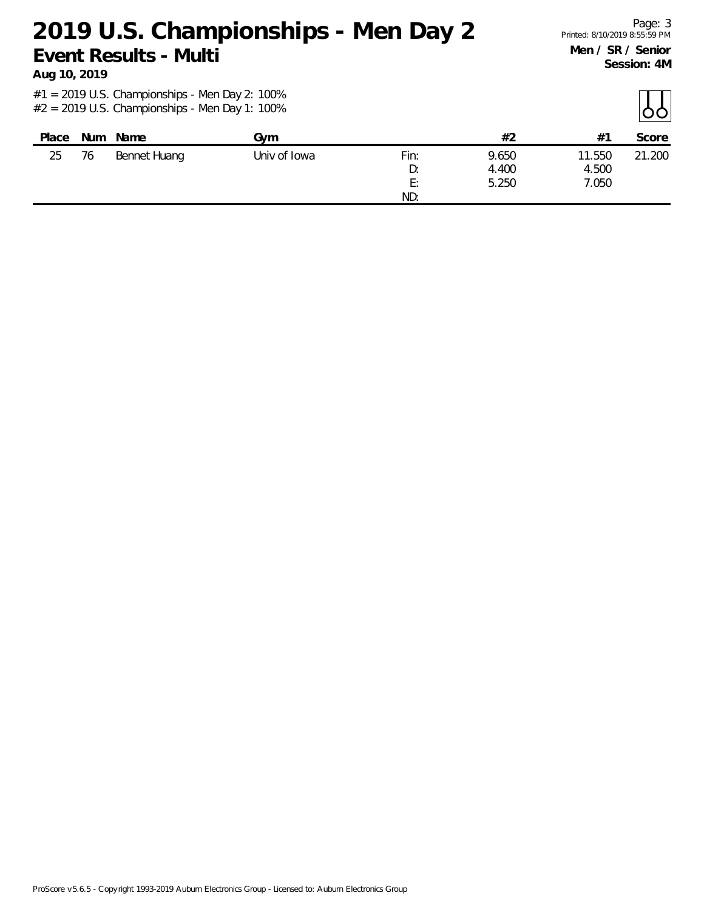**Aug 10, 2019**

| Place | Num | Name         | Gvm          |            | #2             | $#^2$           | Score  |
|-------|-----|--------------|--------------|------------|----------------|-----------------|--------|
| 25    | 76  | Bennet Huang | Univ of Iowa | Fin:<br>D: | 9.650<br>4.400 | 11.550<br>4.500 | 21.200 |
|       |     |              |              | E:         | 5.250          | 7.050           |        |
|       |     |              |              | ND:        |                |                 |        |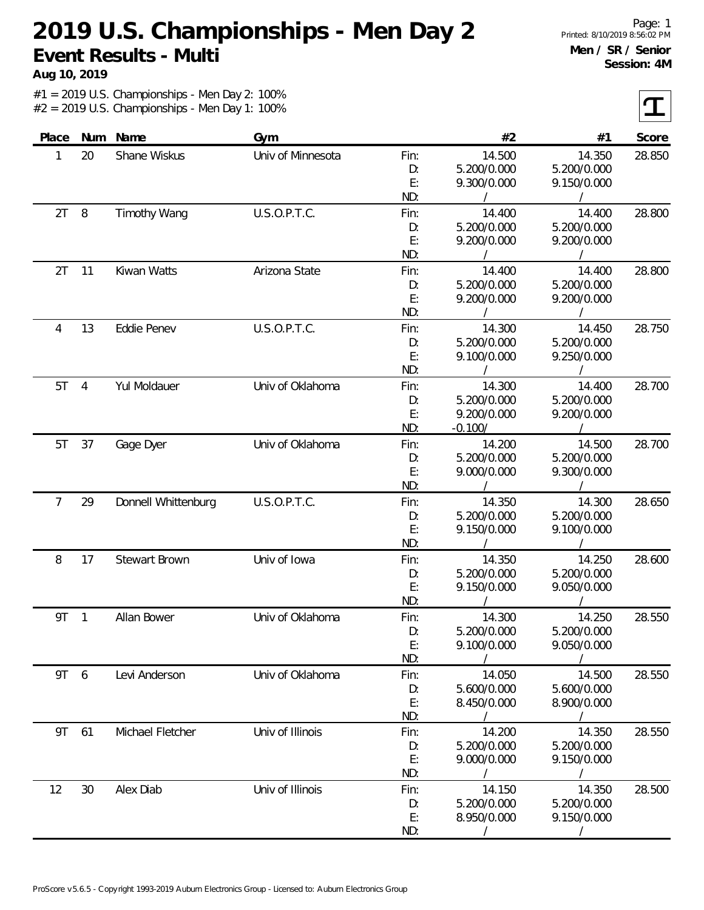**Aug 10, 2019**

 $\tau$ 

| Place |                | Num Name            | Gym               |      | #2          | #1          | Score  |
|-------|----------------|---------------------|-------------------|------|-------------|-------------|--------|
| 1     | 20             | Shane Wiskus        | Univ of Minnesota | Fin: | 14.500      | 14.350      | 28.850 |
|       |                |                     |                   | D:   | 5.200/0.000 | 5.200/0.000 |        |
|       |                |                     |                   | E:   | 9.300/0.000 | 9.150/0.000 |        |
|       |                |                     |                   | ND:  |             |             |        |
| 2T    | 8              | <b>Timothy Wang</b> | U.S.O.P.T.C.      | Fin: | 14.400      | 14.400      | 28.800 |
|       |                |                     |                   | D:   | 5.200/0.000 | 5.200/0.000 |        |
|       |                |                     |                   | E:   | 9.200/0.000 | 9.200/0.000 |        |
|       |                |                     |                   | ND:  |             |             |        |
| 2T    | 11             | Kiwan Watts         | Arizona State     | Fin: | 14.400      | 14.400      | 28.800 |
|       |                |                     |                   | D:   | 5.200/0.000 | 5.200/0.000 |        |
|       |                |                     |                   | E:   | 9.200/0.000 | 9.200/0.000 |        |
|       |                |                     |                   | ND:  |             |             |        |
| 4     | 13             | Eddie Penev         | U.S.O.P.T.C.      | Fin: | 14.300      | 14.450      | 28.750 |
|       |                |                     |                   | D:   | 5.200/0.000 | 5.200/0.000 |        |
|       |                |                     |                   | E:   | 9.100/0.000 | 9.250/0.000 |        |
|       |                |                     |                   | ND:  |             |             |        |
| 5T    | $\overline{4}$ | Yul Moldauer        | Univ of Oklahoma  | Fin: | 14.300      | 14.400      | 28.700 |
|       |                |                     |                   | D:   | 5.200/0.000 | 5.200/0.000 |        |
|       |                |                     |                   | E:   | 9.200/0.000 | 9.200/0.000 |        |
|       |                |                     |                   | ND:  | $-0.100/$   |             |        |
| 5T    | 37             | Gage Dyer           | Univ of Oklahoma  | Fin: | 14.200      | 14.500      | 28.700 |
|       |                |                     |                   | D:   | 5.200/0.000 | 5.200/0.000 |        |
|       |                |                     |                   | E:   | 9.000/0.000 | 9.300/0.000 |        |
|       |                |                     |                   | ND:  |             |             |        |
| 7     | 29             | Donnell Whittenburg | U.S.O.P.T.C.      | Fin: | 14.350      | 14.300      | 28.650 |
|       |                |                     |                   | D:   | 5.200/0.000 | 5.200/0.000 |        |
|       |                |                     |                   | E:   | 9.150/0.000 | 9.100/0.000 |        |
|       |                |                     |                   | ND:  |             |             |        |
| 8     | 17             | Stewart Brown       | Univ of Iowa      | Fin: | 14.350      | 14.250      | 28.600 |
|       |                |                     |                   | D:   | 5.200/0.000 | 5.200/0.000 |        |
|       |                |                     |                   | E:   | 9.150/0.000 | 9.050/0.000 |        |
|       |                |                     |                   | ND:  |             |             |        |
| 9T    | $\overline{1}$ | Allan Bower         | Univ of Oklahoma  | Fin: | 14.300      | 14.250      | 28.550 |
|       |                |                     |                   | D:   | 5.200/0.000 | 5.200/0.000 |        |
|       |                |                     |                   | E:   | 9.100/0.000 | 9.050/0.000 |        |
|       |                |                     |                   | ND:  |             |             |        |
| 9T 6  |                | Levi Anderson       | Univ of Oklahoma  | Fin: | 14.050      | 14.500      | 28.550 |
|       |                |                     |                   | D:   | 5.600/0.000 | 5.600/0.000 |        |
|       |                |                     |                   | E:   | 8.450/0.000 | 8.900/0.000 |        |
|       |                |                     |                   | ND:  |             |             |        |
| 9T    | 61             | Michael Fletcher    | Univ of Illinois  | Fin: | 14.200      | 14.350      | 28.550 |
|       |                |                     |                   | D:   | 5.200/0.000 | 5.200/0.000 |        |
|       |                |                     |                   | E:   | 9.000/0.000 | 9.150/0.000 |        |
|       |                |                     |                   | ND:  |             |             |        |
| 12    | 30             | Alex Diab           | Univ of Illinois  | Fin: | 14.150      | 14.350      | 28.500 |
|       |                |                     |                   | D:   | 5.200/0.000 | 5.200/0.000 |        |
|       |                |                     |                   | E:   | 8.950/0.000 | 9.150/0.000 |        |
|       |                |                     |                   | ND:  |             | $\prime$    |        |
|       |                |                     |                   |      |             |             |        |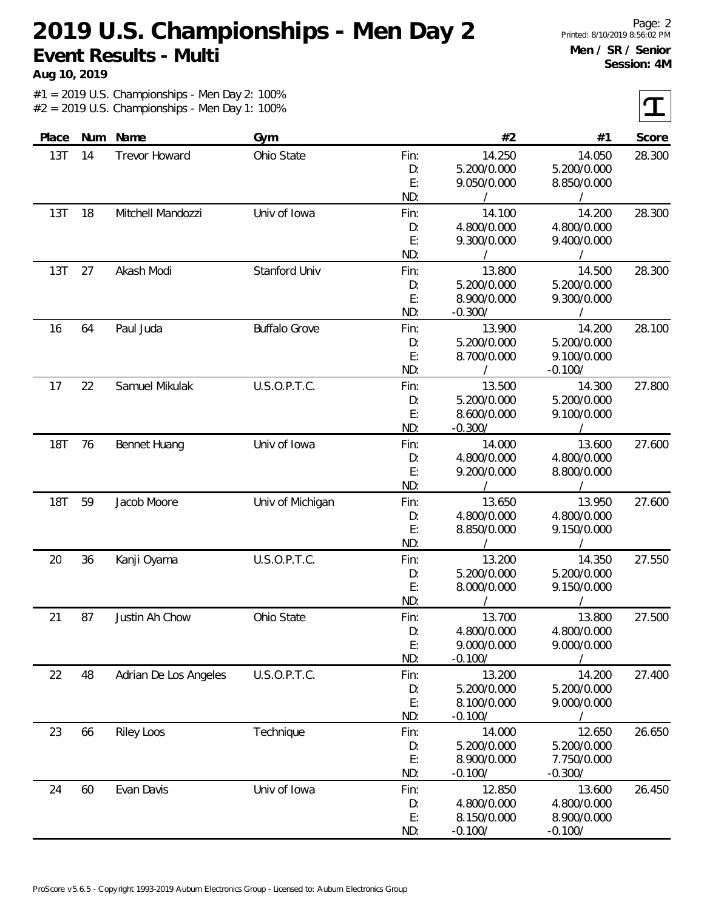**Aug 10, 2019**

 $|\mathbf{T}|$ 

| Place      |    | Num Name              | Gym                  |            | #2                         | #1                       | Score  |
|------------|----|-----------------------|----------------------|------------|----------------------------|--------------------------|--------|
| 13T        | 14 | <b>Trevor Howard</b>  | Ohio State           | Fin:       | 14.250                     | 14.050                   | 28.300 |
|            |    |                       |                      | D:         | 5.200/0.000                | 5.200/0.000              |        |
|            |    |                       |                      | E:         | 9.050/0.000                | 8.850/0.000              |        |
|            |    |                       |                      | ND:        |                            |                          |        |
| 13T        | 18 | Mitchell Mandozzi     | Univ of Iowa         | Fin:       | 14.100                     | 14.200                   | 28.300 |
|            |    |                       |                      | D:         | 4.800/0.000                | 4.800/0.000              |        |
|            |    |                       |                      | E:         | 9.300/0.000                | 9.400/0.000              |        |
|            |    |                       |                      | ND:        |                            |                          |        |
| 13T        | 27 | Akash Modi            | Stanford Univ        | Fin:       | 13.800                     | 14.500                   | 28.300 |
|            |    |                       |                      | D:         | 5.200/0.000                | 5.200/0.000              |        |
|            |    |                       |                      | E:         | 8.900/0.000                | 9.300/0.000              |        |
|            |    |                       |                      | ND:        | $-0.300/$                  | $\prime$                 |        |
| 16         | 64 | Paul Juda             | <b>Buffalo Grove</b> | Fin:       | 13.900                     | 14.200                   | 28.100 |
|            |    |                       |                      | D:<br>E:   | 5.200/0.000                | 5.200/0.000              |        |
|            |    |                       |                      | ND:        | 8.700/0.000                | 9.100/0.000<br>$-0.100/$ |        |
|            |    | Samuel Mikulak        |                      |            |                            | 14.300                   |        |
| 17         | 22 |                       | U.S.O.P.T.C.         | Fin:<br>D: | 13.500<br>5.200/0.000      | 5.200/0.000              | 27.800 |
|            |    |                       |                      | E:         | 8.600/0.000                | 9.100/0.000              |        |
|            |    |                       |                      | ND:        | $-0.300/$                  |                          |        |
| <b>18T</b> | 76 | <b>Bennet Huang</b>   | Univ of Iowa         | Fin:       | 14.000                     | 13.600                   | 27.600 |
|            |    |                       |                      | D:         | 4.800/0.000                | 4.800/0.000              |        |
|            |    |                       |                      | E:         | 9.200/0.000                | 8.800/0.000              |        |
|            |    |                       |                      | ND:        |                            |                          |        |
| <b>18T</b> | 59 | Jacob Moore           | Univ of Michigan     | Fin:       | 13.650                     | 13.950                   | 27.600 |
|            |    |                       |                      | D:         | 4.800/0.000                | 4.800/0.000              |        |
|            |    |                       |                      | E:         | 8.850/0.000                | 9.150/0.000              |        |
|            |    |                       |                      | ND:        |                            |                          |        |
| 20         | 36 | Kanji Oyama           | U.S.O.P.T.C.         | Fin:       | 13.200                     | 14.350                   | 27.550 |
|            |    |                       |                      | D:         | 5.200/0.000                | 5.200/0.000              |        |
|            |    |                       |                      | E:         | 8.000/0.000                | 9.150/0.000              |        |
|            |    |                       |                      | ND:        |                            |                          |        |
| 21         | 87 | Justin Ah Chow        | Ohio State           | Fin:       | 13.700                     | 13.800                   | 27.500 |
|            |    |                       |                      | D:         | 4.800/0.000                | 4.800/0.000              |        |
|            |    |                       |                      | E:         | 9.000/0.000                | 9.000/0.000              |        |
|            |    |                       |                      | ND:        | $-0.100/$                  |                          |        |
| 22         | 48 | Adrian De Los Angeles | U.S.O.P.T.C.         | Fin:       | 13.200                     | 14.200                   | 27.400 |
|            |    |                       |                      | D:         | 5.200/0.000                | 5.200/0.000              |        |
|            |    |                       |                      | E:         | 8.100/0.000                | 9.000/0.000              |        |
|            |    |                       |                      | ND:        | $-0.100/$                  |                          |        |
| 23         | 66 | <b>Riley Loos</b>     | Technique            | Fin:       | 14.000                     | 12.650<br>5.200/0.000    | 26.650 |
|            |    |                       |                      | D:<br>E:   | 5.200/0.000<br>8.900/0.000 | 7.750/0.000              |        |
|            |    |                       |                      | ND:        | $-0.100/$                  | $-0.300/$                |        |
| 24         | 60 | Evan Davis            | Univ of Iowa         | Fin:       | 12.850                     | 13.600                   | 26.450 |
|            |    |                       |                      | D:         | 4.800/0.000                | 4.800/0.000              |        |
|            |    |                       |                      | E:         | 8.150/0.000                | 8.900/0.000              |        |
|            |    |                       |                      | ND:        | $-0.100/$                  | $-0.100/$                |        |
|            |    |                       |                      |            |                            |                          |        |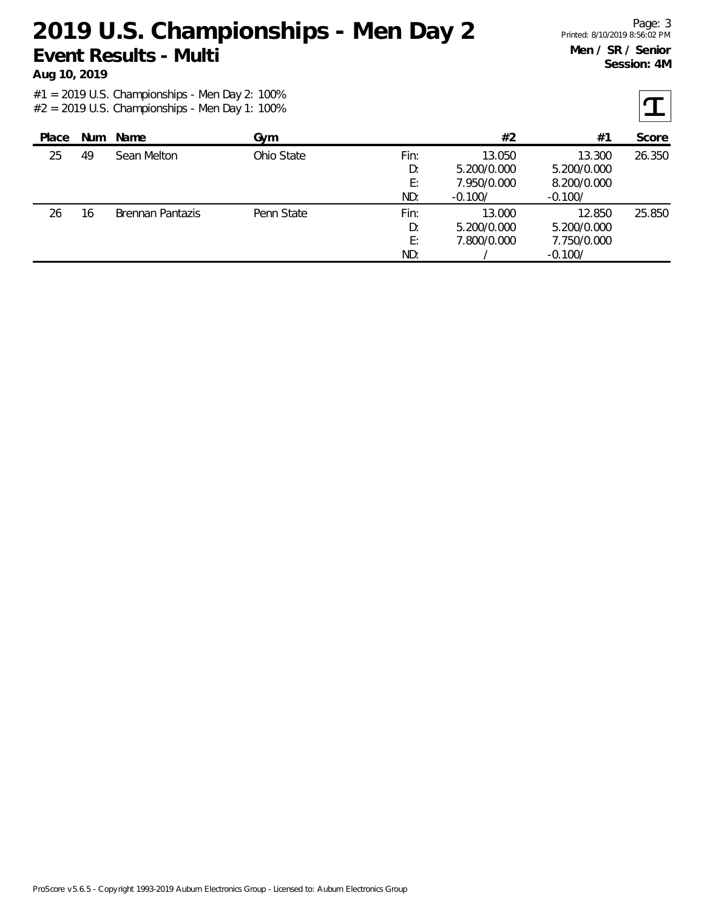**Aug 10, 2019**

| Place | <b>Num</b> | Name                    | Gym        |      | #2          | #1          | Score  |
|-------|------------|-------------------------|------------|------|-------------|-------------|--------|
| 25    | 49         | Sean Melton             | Ohio State | Fin: | 13.050      | 13.300      | 26.350 |
|       |            |                         |            | D:   | 5.200/0.000 | 5.200/0.000 |        |
|       |            |                         |            | E:   | 7.950/0.000 | 8.200/0.000 |        |
|       |            |                         |            | ND:  | $-0.100/$   | $-0.100/$   |        |
| 26    | 16         | <b>Brennan Pantazis</b> | Penn State | Fin: | 13.000      | 12.850      | 25.850 |
|       |            |                         |            | D:   | 5.200/0.000 | 5.200/0.000 |        |
|       |            |                         |            | E:   | 7.800/0.000 | 7.750/0.000 |        |
|       |            |                         |            | ND:  |             | $-0.100/$   |        |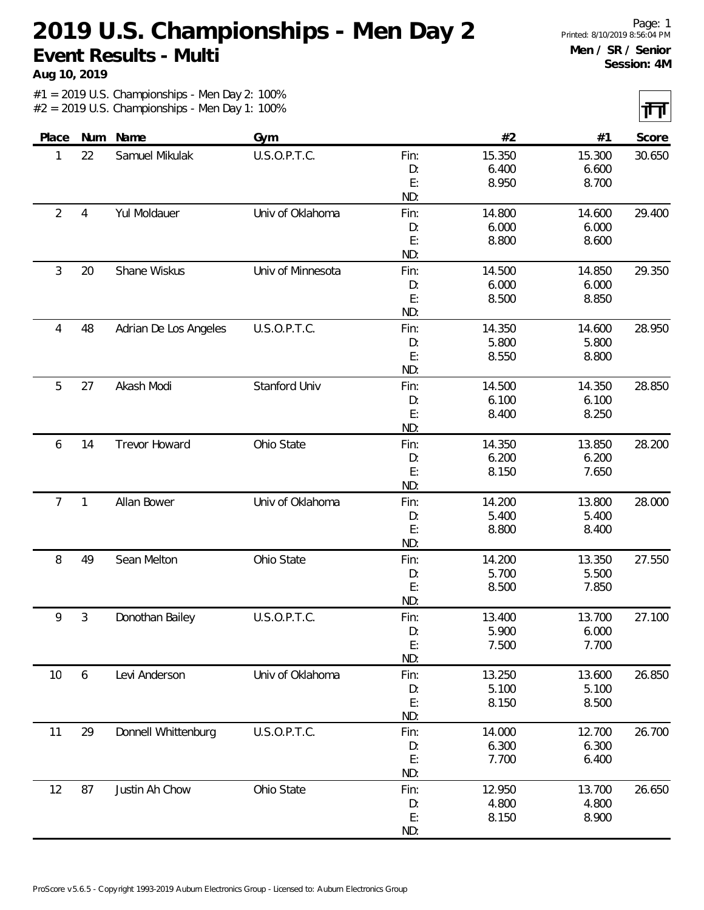**Aug 10, 2019**

 $\overline{\mathbf{H}}$ 

|                |                |                       |                   |           |        |        | $\mathbf{r}$ , $\mathbf{r}$ |
|----------------|----------------|-----------------------|-------------------|-----------|--------|--------|-----------------------------|
| Place          | Num            | Name                  | Gym               |           | #2     | #1     | Score                       |
| 1              | 22             | Samuel Mikulak        | U.S.O.P.T.C.      | Fin:      | 15.350 | 15.300 | 30.650                      |
|                |                |                       |                   | D:        | 6.400  | 6.600  |                             |
|                |                |                       |                   | E:        | 8.950  | 8.700  |                             |
|                |                |                       |                   | ND:       |        |        |                             |
| $\overline{2}$ | $\overline{4}$ | Yul Moldauer          | Univ of Oklahoma  | Fin:      | 14.800 | 14.600 | 29.400                      |
|                |                |                       |                   | D:        | 6.000  | 6.000  |                             |
|                |                |                       |                   | E:        | 8.800  | 8.600  |                             |
|                |                |                       |                   | ND:       |        |        |                             |
| 3              | 20             | Shane Wiskus          | Univ of Minnesota | Fin:      | 14.500 | 14.850 | 29.350                      |
|                |                |                       |                   | D:        | 6.000  | 6.000  |                             |
|                |                |                       |                   | E:        | 8.500  | 8.850  |                             |
|                |                |                       |                   | ND:       |        |        |                             |
| 4              | 48             | Adrian De Los Angeles | U.S.O.P.T.C.      | Fin:      | 14.350 | 14.600 | 28.950                      |
|                |                |                       |                   | D:        | 5.800  | 5.800  |                             |
|                |                |                       |                   | E:        | 8.550  | 8.800  |                             |
|                |                |                       |                   | ND:       |        |        |                             |
| 5              | 27             | Akash Modi            | Stanford Univ     | Fin:      | 14.500 | 14.350 | 28.850                      |
|                |                |                       |                   | D:        | 6.100  | 6.100  |                             |
|                |                |                       |                   | E:        | 8.400  | 8.250  |                             |
|                |                |                       |                   | ND:       |        |        |                             |
| 6              | 14             | Trevor Howard         | Ohio State        | Fin:      | 14.350 | 13.850 | 28.200                      |
|                |                |                       |                   | D:        | 6.200  | 6.200  |                             |
|                |                |                       |                   | E:<br>ND: | 8.150  | 7.650  |                             |
| $\overline{7}$ | $\mathbf{1}$   | Allan Bower           | Univ of Oklahoma  | Fin:      | 14.200 | 13.800 | 28.000                      |
|                |                |                       |                   | D:        | 5.400  | 5.400  |                             |
|                |                |                       |                   | E:        | 8.800  | 8.400  |                             |
|                |                |                       |                   | ND:       |        |        |                             |
| 8              | 49             | Sean Melton           | Ohio State        | Fin:      | 14.200 | 13.350 | 27.550                      |
|                |                |                       |                   | D:        | 5.700  | 5.500  |                             |
|                |                |                       |                   | E:        | 8.500  | 7.850  |                             |
|                |                |                       |                   | ND:       |        |        |                             |
| 9              | $\mathfrak{Z}$ | Donothan Bailey       | U.S.O.P.T.C.      | Fin:      | 13.400 | 13.700 | 27.100                      |
|                |                |                       |                   | D:        | 5.900  | 6.000  |                             |
|                |                |                       |                   | E:        | 7.500  | 7.700  |                             |
|                |                |                       |                   | ND:       |        |        |                             |
| 10             | 6              | Levi Anderson         | Univ of Oklahoma  | Fin:      | 13.250 | 13.600 | 26.850                      |
|                |                |                       |                   | D:        | 5.100  | 5.100  |                             |
|                |                |                       |                   | E:        | 8.150  | 8.500  |                             |
|                |                |                       |                   | ND:       |        |        |                             |
| 11             | 29             | Donnell Whittenburg   | U.S.O.P.T.C.      | Fin:      | 14.000 | 12.700 | 26.700                      |
|                |                |                       |                   | D:        | 6.300  | 6.300  |                             |
|                |                |                       |                   | E:        | 7.700  | 6.400  |                             |
|                |                |                       |                   | ND:       |        |        |                             |
| 12             | 87             | Justin Ah Chow        | Ohio State        | Fin:      | 12.950 | 13.700 | 26.650                      |
|                |                |                       |                   | D:        | 4.800  | 4.800  |                             |
|                |                |                       |                   | E:        | 8.150  | 8.900  |                             |
|                |                |                       |                   | ND:       |        |        |                             |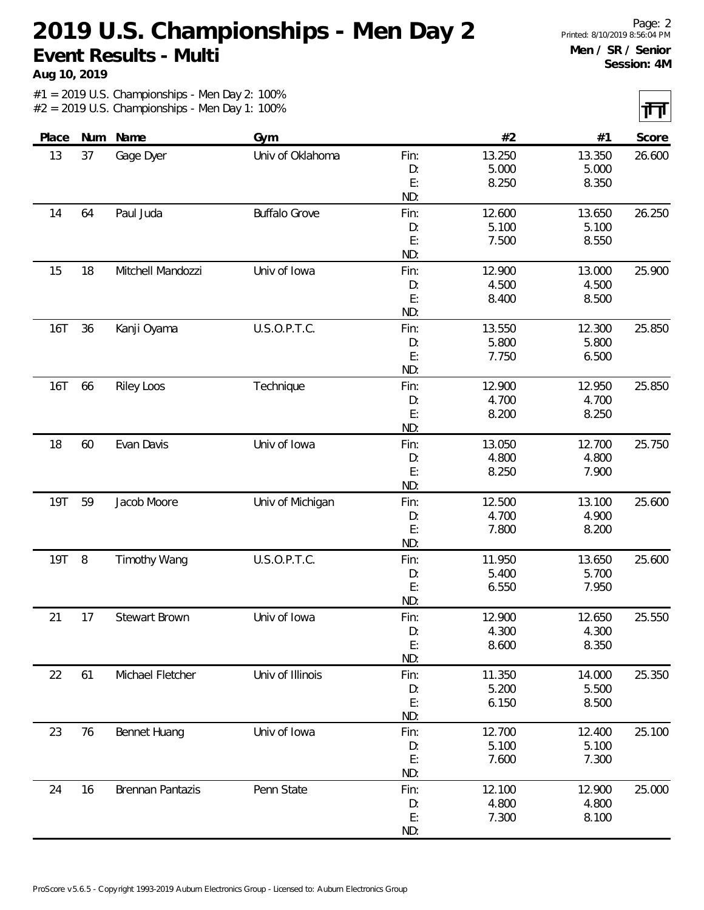**Aug 10, 2019**

नन्त

|            |    |                     |                      |           |                |                | 11 H J |
|------------|----|---------------------|----------------------|-----------|----------------|----------------|--------|
| Place      |    | Num Name            | Gym                  |           | $#2$           | #1             | Score  |
| 13         | 37 | Gage Dyer           | Univ of Oklahoma     | Fin:      | 13.250         | 13.350         | 26.600 |
|            |    |                     |                      | D:        | 5.000          | 5.000          |        |
|            |    |                     |                      | E:<br>ND: | 8.250          | 8.350          |        |
|            |    |                     |                      |           |                |                |        |
| 14         | 64 | Paul Juda           | <b>Buffalo Grove</b> | Fin:      | 12.600         | 13.650         | 26.250 |
|            |    |                     |                      | D:<br>E:  | 5.100<br>7.500 | 5.100<br>8.550 |        |
|            |    |                     |                      | ND:       |                |                |        |
| 15         | 18 | Mitchell Mandozzi   | Univ of Iowa         | Fin:      | 12.900         | 13.000         | 25.900 |
|            |    |                     |                      | D:        | 4.500          | 4.500          |        |
|            |    |                     |                      | E:        | 8.400          | 8.500          |        |
|            |    |                     |                      | ND:       |                |                |        |
| 16T        | 36 | Kanji Oyama         | U.S.O.P.T.C.         | Fin:      | 13.550         | 12.300         | 25.850 |
|            |    |                     |                      | D:        | 5.800          | 5.800          |        |
|            |    |                     |                      | E:        | 7.750          | 6.500          |        |
|            |    |                     |                      | ND:       |                |                |        |
| 16T        | 66 | <b>Riley Loos</b>   | Technique            | Fin:      | 12.900         | 12.950         | 25.850 |
|            |    |                     |                      | D:        | 4.700          | 4.700          |        |
|            |    |                     |                      | E:        | 8.200          | 8.250          |        |
|            |    |                     |                      | ND:       |                |                |        |
| 18         | 60 | Evan Davis          | Univ of Iowa         | Fin:      | 13.050         | 12.700         | 25.750 |
|            |    |                     |                      | D:        | 4.800          | 4.800          |        |
|            |    |                     |                      | E:        | 8.250          | 7.900          |        |
|            |    |                     |                      | ND:       |                |                |        |
| <b>19T</b> | 59 | Jacob Moore         | Univ of Michigan     | Fin:      | 12.500         | 13.100         | 25.600 |
|            |    |                     |                      | D:        | 4.700          | 4.900          |        |
|            |    |                     |                      | E:        | 7.800          | 8.200          |        |
|            |    |                     |                      | ND:       |                |                |        |
| 19T        | 8  | <b>Timothy Wang</b> | U.S.O.P.T.C.         | Fin:      | 11.950         | 13.650         | 25.600 |
|            |    |                     |                      | D:        | 5.400          | 5.700          |        |
|            |    |                     |                      | E:        | 6.550          | 7.950          |        |
|            |    |                     |                      | ND:       |                |                |        |
| 21         | 17 | Stewart Brown       | Univ of Iowa         | Fin:      | 12.900         | 12.650         | 25.550 |
|            |    |                     |                      | D:        | 4.300          | 4.300          |        |
|            |    |                     |                      | E:        | 8.600          | 8.350          |        |
|            |    |                     |                      | ND:       |                |                |        |
| 22         | 61 | Michael Fletcher    | Univ of Illinois     | Fin:      | 11.350         | 14.000         | 25.350 |
|            |    |                     |                      | D:        | 5.200          | 5.500          |        |
|            |    |                     |                      | E:        | 6.150          | 8.500          |        |
|            |    |                     |                      | ND:       |                |                |        |
| 23         | 76 | Bennet Huang        | Univ of Iowa         | Fin:      | 12.700         | 12.400         | 25.100 |
|            |    |                     |                      | D:        | 5.100          | 5.100          |        |
|            |    |                     |                      | E:        | 7.600          | 7.300          |        |
|            |    |                     |                      | ND:       |                |                |        |
| 24         | 16 | Brennan Pantazis    | Penn State           | Fin:      | 12.100         | 12.900         | 25.000 |
|            |    |                     |                      | D:        | 4.800          | 4.800          |        |
|            |    |                     |                      | E:        | 7.300          | 8.100          |        |
|            |    |                     |                      | ND:       |                |                |        |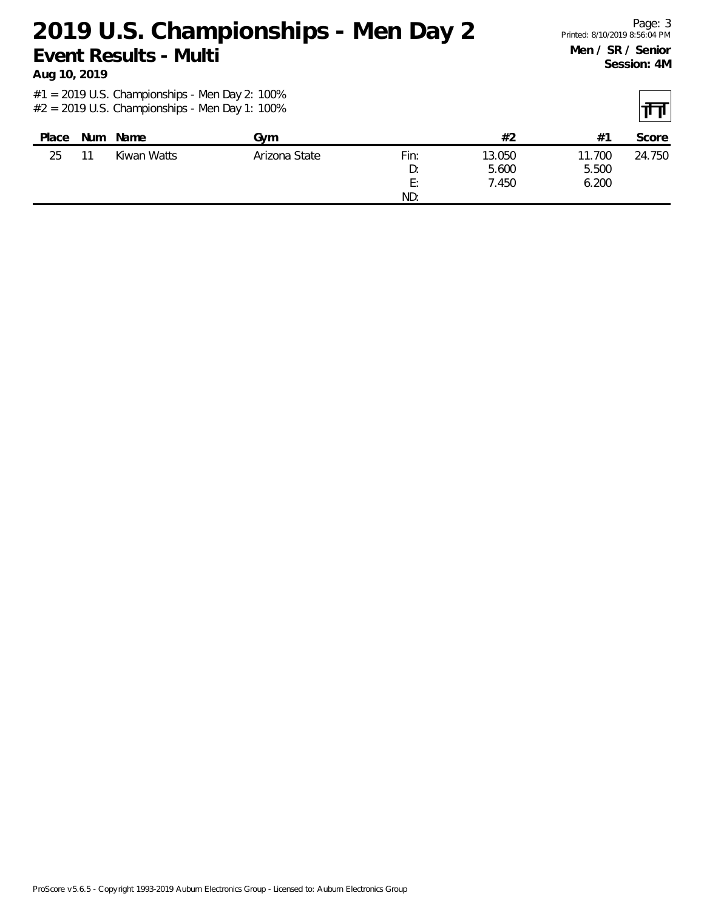**Aug 10, 2019**

| Place | <b>Num</b> | Name        | Gvm           |      | #2     | $#^{\bullet}$ | Score  |
|-------|------------|-------------|---------------|------|--------|---------------|--------|
| 25    | 11         | Kiwan Watts | Arizona State | Fin: | 13.050 | 11.700        | 24.750 |
|       |            |             |               | D:   | 5.600  | 5.500         |        |
|       |            |             |               | E:   | 7.450  | 6.200         |        |
|       |            |             |               | ND:  |        |               |        |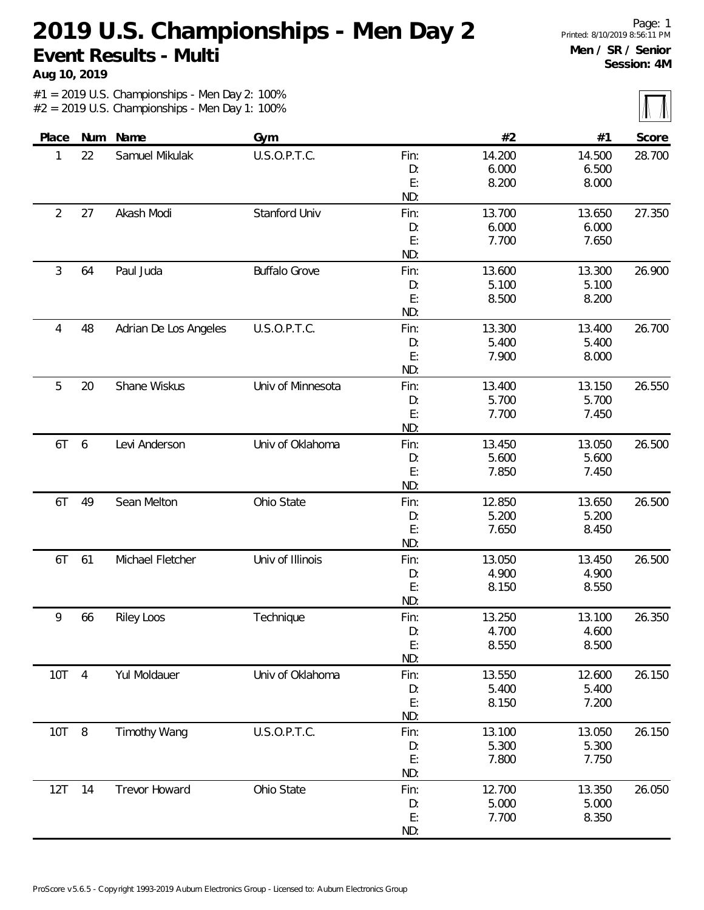**Aug 10, 2019**

 $\sqrt{}$ 

|                |                |                       |                      |      |        |        | $111 - 111$ |
|----------------|----------------|-----------------------|----------------------|------|--------|--------|-------------|
| Place          |                | Num Name              | Gym                  |      | #2     | #1     | Score       |
| 1              | 22             | Samuel Mikulak        | U.S.O.P.T.C.         | Fin: | 14.200 | 14.500 | 28.700      |
|                |                |                       |                      | D:   | 6.000  | 6.500  |             |
|                |                |                       |                      | E:   | 8.200  | 8.000  |             |
|                |                |                       |                      | ND:  |        |        |             |
| $\overline{2}$ | 27             | Akash Modi            | Stanford Univ        | Fin: | 13.700 | 13.650 | 27.350      |
|                |                |                       |                      | D:   | 6.000  | 6.000  |             |
|                |                |                       |                      | E:   | 7.700  | 7.650  |             |
|                |                |                       |                      | ND:  |        |        |             |
| 3              | 64             | Paul Juda             | <b>Buffalo Grove</b> | Fin: | 13.600 | 13.300 | 26.900      |
|                |                |                       |                      | D:   | 5.100  | 5.100  |             |
|                |                |                       |                      | E:   | 8.500  | 8.200  |             |
|                |                |                       |                      | ND:  |        |        |             |
| 4              | 48             | Adrian De Los Angeles | U.S.O.P.T.C.         | Fin: | 13.300 | 13.400 | 26.700      |
|                |                |                       |                      | D:   | 5.400  | 5.400  |             |
|                |                |                       |                      | E:   | 7.900  | 8.000  |             |
|                |                |                       |                      | ND:  |        |        |             |
| 5              | 20             | Shane Wiskus          | Univ of Minnesota    | Fin: | 13.400 | 13.150 | 26.550      |
|                |                |                       |                      | D:   | 5.700  | 5.700  |             |
|                |                |                       |                      | E:   | 7.700  | 7.450  |             |
|                |                |                       |                      | ND:  |        |        |             |
| 6T             | 6              | Levi Anderson         | Univ of Oklahoma     | Fin: | 13.450 | 13.050 | 26.500      |
|                |                |                       |                      | D:   | 5.600  | 5.600  |             |
|                |                |                       |                      | E:   | 7.850  | 7.450  |             |
|                |                |                       |                      | ND:  |        |        |             |
| 6T             | 49             | Sean Melton           | Ohio State           | Fin: | 12.850 | 13.650 | 26.500      |
|                |                |                       |                      | D:   | 5.200  | 5.200  |             |
|                |                |                       |                      | E:   | 7.650  | 8.450  |             |
|                |                |                       |                      | ND:  |        |        |             |
| 6T             | 61             | Michael Fletcher      | Univ of Illinois     | Fin: | 13.050 | 13.450 | 26.500      |
|                |                |                       |                      | D:   | 4.900  | 4.900  |             |
|                |                |                       |                      | E:   | 8.150  | 8.550  |             |
|                |                |                       |                      | ND:  |        |        |             |
| 9              | 66             | <b>Riley Loos</b>     | Technique            | Fin: | 13.250 | 13.100 | 26.350      |
|                |                |                       |                      | D:   | 4.700  | 4.600  |             |
|                |                |                       |                      | E:   | 8.550  | 8.500  |             |
|                |                |                       |                      | ND:  |        |        |             |
| 10T            | $\overline{4}$ | Yul Moldauer          | Univ of Oklahoma     | Fin: | 13.550 | 12.600 | 26.150      |
|                |                |                       |                      | D:   | 5.400  | 5.400  |             |
|                |                |                       |                      | E:   | 8.150  | 7.200  |             |
|                |                |                       |                      | ND:  |        |        |             |
| 10T            | 8              | <b>Timothy Wang</b>   | U.S.O.P.T.C.         | Fin: | 13.100 | 13.050 | 26.150      |
|                |                |                       |                      | D:   | 5.300  | 5.300  |             |
|                |                |                       |                      | E:   | 7.800  | 7.750  |             |
|                |                |                       |                      | ND:  |        |        |             |
| 12T            | 14             | Trevor Howard         | Ohio State           | Fin: | 12.700 | 13.350 | 26.050      |
|                |                |                       |                      | D:   | 5.000  | 5.000  |             |
|                |                |                       |                      | E:   | 7.700  | 8.350  |             |
|                |                |                       |                      | ND:  |        |        |             |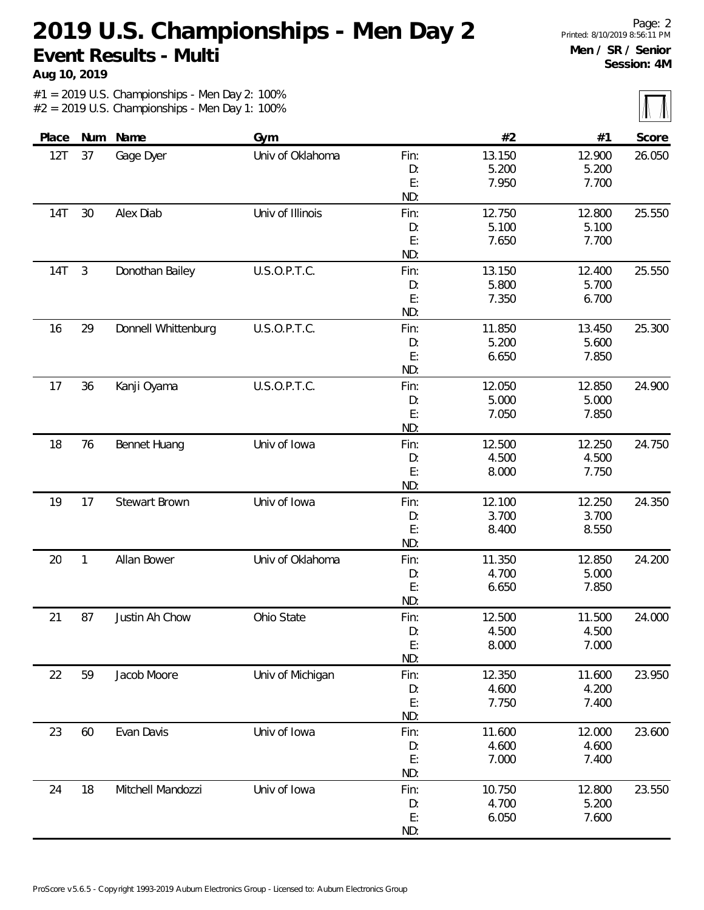**Aug 10, 2019**

 $\overline{\mathbb{M}}$ 

| Place |                | Num Name            | Gym              |      | #2     | #1     | Score  |
|-------|----------------|---------------------|------------------|------|--------|--------|--------|
| 12T   | 37             | Gage Dyer           | Univ of Oklahoma | Fin: | 13.150 | 12.900 | 26.050 |
|       |                |                     |                  | D:   | 5.200  | 5.200  |        |
|       |                |                     |                  | E:   | 7.950  | 7.700  |        |
|       |                |                     |                  | ND:  |        |        |        |
| 14T   | 30             | Alex Diab           | Univ of Illinois | Fin: | 12.750 | 12.800 | 25.550 |
|       |                |                     |                  | D:   | 5.100  | 5.100  |        |
|       |                |                     |                  | E:   | 7.650  | 7.700  |        |
|       |                |                     |                  | ND:  |        |        |        |
| 14T   | $\mathfrak{Z}$ | Donothan Bailey     | U.S.O.P.T.C.     | Fin: | 13.150 | 12.400 | 25.550 |
|       |                |                     |                  | D:   | 5.800  | 5.700  |        |
|       |                |                     |                  | E:   | 7.350  | 6.700  |        |
|       |                |                     |                  | ND:  |        |        |        |
| 16    | 29             | Donnell Whittenburg | U.S.O.P.T.C.     | Fin: | 11.850 | 13.450 | 25.300 |
|       |                |                     |                  | D:   | 5.200  | 5.600  |        |
|       |                |                     |                  | E:   | 6.650  | 7.850  |        |
|       |                |                     |                  | ND:  |        |        |        |
| 17    | 36             | Kanji Oyama         | U.S.O.P.T.C.     | Fin: | 12.050 | 12.850 | 24.900 |
|       |                |                     |                  | D:   | 5.000  | 5.000  |        |
|       |                |                     |                  | E:   | 7.050  | 7.850  |        |
|       |                |                     |                  | ND:  |        |        |        |
| 18    | 76             | Bennet Huang        | Univ of Iowa     | Fin: | 12.500 | 12.250 | 24.750 |
|       |                |                     |                  | D:   | 4.500  | 4.500  |        |
|       |                |                     |                  | E:   | 8.000  | 7.750  |        |
|       |                |                     |                  | ND:  |        |        |        |
| 19    | 17             | Stewart Brown       | Univ of Iowa     | Fin: | 12.100 | 12.250 | 24.350 |
|       |                |                     |                  | D:   | 3.700  | 3.700  |        |
|       |                |                     |                  | E:   | 8.400  | 8.550  |        |
|       |                |                     |                  | ND:  |        |        |        |
| 20    | $\mathbf{1}$   | Allan Bower         | Univ of Oklahoma | Fin: | 11.350 | 12.850 | 24.200 |
|       |                |                     |                  | D:   | 4.700  | 5.000  |        |
|       |                |                     |                  | E:   | 6.650  | 7.850  |        |
|       |                |                     |                  | ND:  |        |        |        |
| 21    | 87             | Justin Ah Chow      | Ohio State       | Fin: | 12.500 | 11.500 | 24.000 |
|       |                |                     |                  | D:   | 4.500  | 4.500  |        |
|       |                |                     |                  | E:   | 8.000  | 7.000  |        |
|       |                |                     |                  | ND:  |        |        |        |
| 22    | 59             | Jacob Moore         | Univ of Michigan | Fin: | 12.350 | 11.600 | 23.950 |
|       |                |                     |                  | D:   | 4.600  | 4.200  |        |
|       |                |                     |                  | E:   | 7.750  | 7.400  |        |
|       |                |                     |                  | ND:  |        |        |        |
| 23    | 60             | Evan Davis          | Univ of Iowa     | Fin: | 11.600 | 12.000 | 23.600 |
|       |                |                     |                  | D:   | 4.600  | 4.600  |        |
|       |                |                     |                  | E:   | 7.000  | 7.400  |        |
|       |                |                     |                  | ND:  |        |        |        |
| 24    | 18             | Mitchell Mandozzi   | Univ of Iowa     | Fin: | 10.750 | 12.800 | 23.550 |
|       |                |                     |                  | D:   | 4.700  | 5.200  |        |
|       |                |                     |                  | E:   | 6.050  | 7.600  |        |
|       |                |                     |                  |      |        |        |        |